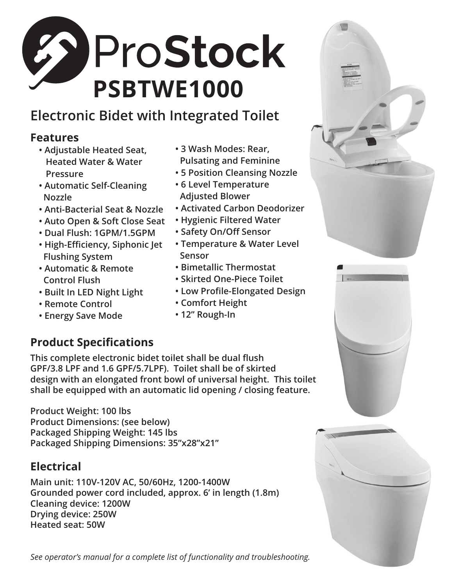

## **Electronic Bidet with Integrated Toilet**

## **Features**

- **Adjustable Heated Seat, Heated Water & Water Pressure**
- **Automatic Self-Cleaning Nozzle**
- **Anti-Bacterial Seat & Nozzle**
- **Auto Open & Soft Close Seat**
- **Dual Flush: 1GPM/1.5GPM**
- **High-Efficiency, Siphonic Jet Flushing System**
- **Automatic & Remote Control Flush**
- **Built In LED Night Light**
- **Remote Control**
- **Energy Save Mode**
- **3 Wash Modes: Rear, Pulsating and Feminine**
- **5 Position Cleansing Nozzle**
- **6 Level Temperature Adjusted Blower**
- **Activated Carbon Deodorizer**
- **Hygienic Filtered Water**
- **Safety On/Off Sensor**
- **Temperature & Water Level Sensor**
- **Bimetallic Thermostat**
- **Skirted One-Piece Toilet**
- **Low Profile-Elongated Design**
- **Comfort Height**
- **12" Rough-In**

## **Product Specifications**

This complete electronic bidet toilet shall be dual flush **GPF/3.8 LPF and 1.6 GPF/5.7LPF). Toilet shall be of skirted design with an elongated front bowl of universal height. This toilet shall be equipped with an automatic lid opening / closing feature.**

**Product Weight: 100 lbs Product Dimensions: (see below) Packaged Shipping Weight: 145 lbs Packaged Shipping Dimensions: 35"x28"x21"**

## **Electrical**

**Main unit: 110V-120V AC, 50/60Hz, 1200-1400W Grounded power cord included, approx. 6' in length (1.8m) Cleaning device: 1200W Drying device: 250W Heated seat: 50W**

*See operator's manual for a complete list of functionality and troubleshooting.*